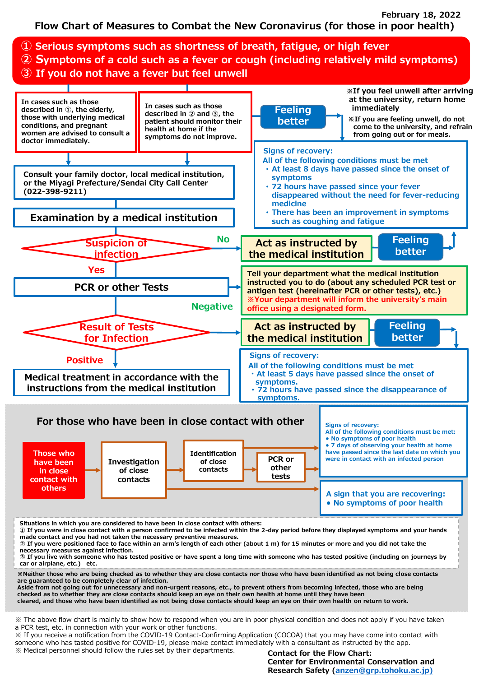**Flow Chart of Measures to Combat the New Coronavirus (for those in poor health) February 18, 2022**



※ Medical personnel should follow the rules set by their departments.

**Contact for the Flow Chart: Center for Environmental Conservation and Research Safety [\(anzen@grp.tohoku.ac.jp\)](mailto:anzen@grp.tohoku.ac.jp)**